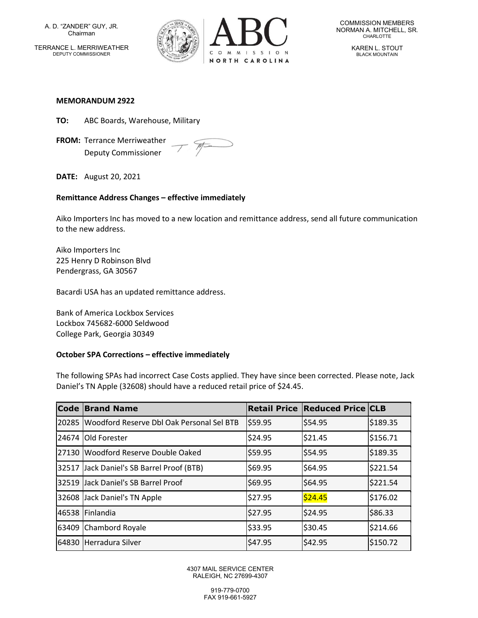A. D. "ZANDER" GUY, JR. Chairman TERRANCE L. MERRIWEATHER DEPUTY COMMISSIONER



COMMISSION MEMBERS NORMAN A. MITCHELL, SR. CHARLOTTE

> KAREN L. STOUT BLACK MOUNTAIN

#### MEMORANDUM 2922

TO: ABC Boards, Warehouse, Military

FROM: Terrance Merriweather Deputy Commissioner

 $\mathcal{F}$ 

DATE: August 20, 2021

### Remittance Address Changes – effective immediately

Aiko Importers Inc has moved to a new location and remittance address, send all future communication to the new address.

Aiko Importers Inc 225 Henry D Robinson Blvd Pendergrass, GA 30567

Bacardi USA has an updated remittance address.

Bank of America Lockbox Services Lockbox 745682-6000 Seldwood College Park, Georgia 30349

#### October SPA Corrections – effective immediately

The following SPAs had incorrect Case Costs applied. They have since been corrected. Please note, Jack Daniel's TN Apple (32608) should have a reduced retail price of \$24.45.

| <b>Code</b> | <b>Brand Name</b>                         |         | <b>Retail Price Reduced Price CLB</b> |          |
|-------------|-------------------------------------------|---------|---------------------------------------|----------|
| 20285       | Woodford Reserve Dbl Oak Personal Sel BTB | \$59.95 | \$54.95                               | \$189.35 |
| 24674       | <b>Old Forester</b>                       | \$24.95 | \$21.45                               | \$156.71 |
| 27130       | Woodford Reserve Double Oaked             | \$59.95 | \$54.95                               | \$189.35 |
| 32517       | Jack Daniel's SB Barrel Proof (BTB)       | \$69.95 | \$64.95                               | \$221.54 |
| 32519       | Jack Daniel's SB Barrel Proof             | \$69.95 | \$64.95                               | \$221.54 |
| 32608       | Jack Daniel's TN Apple                    | \$27.95 | \$24.45                               | \$176.02 |
| 46538       | <b>Finlandia</b>                          | \$27.95 | \$24.95                               | \$86.33  |
| 63409       | Chambord Royale                           | \$33.95 | \$30.45                               | \$214.66 |
| 64830       | Herradura Silver                          | \$47.95 | \$42.95                               | \$150.72 |

4307 MAIL SERVICE CENTER RALEIGH, NC 27699-4307

> 919-779-0700 FAX 919-661-5927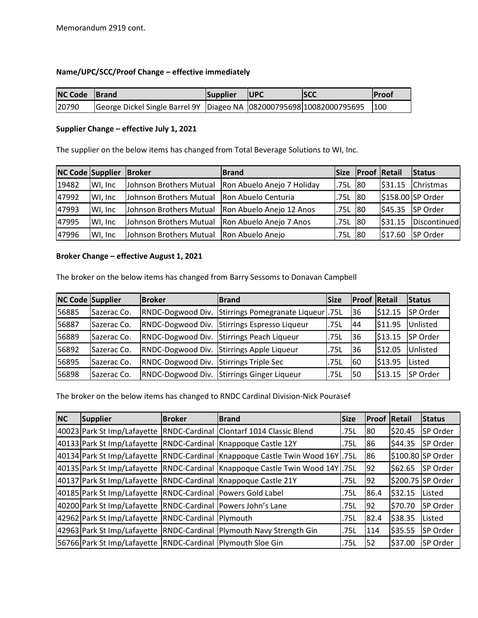# Name/UPC/SCC/Proof Change – effective immediately

| <b>NC Code Brand</b> |                                                                                  | Supplier | <b>IUPC</b> | <b>ISCC</b> | <b>IProof</b> |
|----------------------|----------------------------------------------------------------------------------|----------|-------------|-------------|---------------|
| 20790                | George Dickel Single Barrel 9Y   Diageo NA   082000795698   10082000795695   100 |          |             |             |               |

# Supplier Change – effective July 1, 2021

The supplier on the below items has changed from Total Beverage Solutions to WI, Inc.

| <b>NC Code Supplier</b> |          | <b>Broker</b>           | <b>Brand</b>               | <b>Size</b> | <b>Proof Retail</b> |         | Status            |
|-------------------------|----------|-------------------------|----------------------------|-------------|---------------------|---------|-------------------|
| 19482                   | WI. Inc. | Johnson Brothers Mutual | Ron Abuelo Anejo 7 Holiday | .75L        | 80                  | \$31.15 | <b>Christmas</b>  |
| 47992                   | WI. Inc. | Johnson Brothers Mutual | Ron Abuelo Centuria        | .75L        | 80                  |         | \$158.00 SP Order |
| 47993                   | WI. Inc. | Johnson Brothers Mutual | Ron Abuelo Anejo 12 Anos   | .75L        | 80                  | \$45.35 | <b>SP Order</b>   |
| 47995                   | WI, Inc  | Johnson Brothers Mutual | Ron Abuelo Anejo 7 Anos    | .75L        | 80                  | 531.15  | Discontinued      |
| 47996                   | WI, Inc  | Johnson Brothers Mutual | Ron Abuelo Anejo           | .75L        | <b>80</b>           | \$17.60 | <b>SP Order</b>   |

### Broker Change – effective August 1, 2021

The broker on the below items has changed from Barry Sessoms to Donavan Campbell

| <b>NC Code Supplier</b> |             | <b>Broker</b>                          | <b>Brand</b>                                 | <b>Size</b> | <b>Proof Retail</b> |         | Status          |
|-------------------------|-------------|----------------------------------------|----------------------------------------------|-------------|---------------------|---------|-----------------|
| 56885                   | Sazerac Co. | RNDC-Dogwood Div.                      | Stirrings Pomegranate Liqueur 75L            |             | 136                 | \$12.15 | SP Order        |
| 56887                   | Sazerac Co. |                                        | RNDC-Dogwood Div. Stirrings Espresso Liqueur | .75L        | 44                  | \$11.95 | Unlisted        |
| 56889                   | Sazerac Co. |                                        | RNDC-Dogwood Div. Stirrings Peach Liqueur    | .75L        | 136                 | \$13.15 | <b>SP Order</b> |
| 56892                   | Sazerac Co. |                                        | RNDC-Dogwood Div. Stirrings Apple Liqueur    | .75L        | 136                 | \$12.05 | Unlisted        |
| 56895                   | Sazerac Co. | RNDC-Dogwood Div. Stirrings Triple Sec |                                              | .75L        | l60                 | \$13.95 | Listed          |
| 56898                   | Sazerac Co. |                                        | RNDC-Dogwood Div. Stirrings Ginger Liqueur   | .75L        | 50                  | \$13.15 | <b>SP Order</b> |

The broker on the below items has changed to RNDC Cardinal Division-Nick Pourasef

| <b>NC</b> | <b>Supplier</b>                                                   | <b>Broker</b> | <b>Brand</b>                                                                         | <b>Size</b> | <b>Proof Retail</b> |         | Status            |
|-----------|-------------------------------------------------------------------|---------------|--------------------------------------------------------------------------------------|-------------|---------------------|---------|-------------------|
|           |                                                                   |               | 40023 Park St Imp/Lafayette   RNDC-Cardinal   Clontarf 1014 Classic Blend            | .75L        | 80                  | \$20.45 | SP Order          |
|           |                                                                   |               | 40133 Park St Imp/Lafayette   RNDC-Cardinal   Knappoque Castle 12Y                   | .75L        | 86                  | S44.35  | <b>SP Order</b>   |
|           |                                                                   |               | 40134   Park St Imp/Lafayette   RNDC-Cardinal   Knappoque Castle Twin Wood 16Y   75L |             | 186                 |         | \$100.80 SP Order |
|           |                                                                   |               | 40135 Park St Imp/Lafayette   RNDC-Cardinal   Knappoque Castle Twin Wood 14Y   75L   |             | 92                  | \$62.65 | <b>SP Order</b>   |
|           |                                                                   |               | 40137 Park St Imp/Lafayette   RNDC-Cardinal   Knappoque Castle 21Y                   | .75L        | 192                 |         | \$200.75 SP Order |
|           | 40185   Park St Imp/Lafayette   RNDC-Cardinal   Powers Gold Label |               |                                                                                      | .75L        | 86.4                | \$32.15 | Listed            |
|           | 40200 Park St Imp/Lafayette   RNDC-Cardinal   Powers John's Lane  |               |                                                                                      | .75L        | 92                  | \$70.70 | <b>SP Order</b>   |
|           | 42962 Park St Imp/Lafayette RNDC-Cardinal Plymouth                |               |                                                                                      | .75L        | 82.4                | \$38.35 | Listed            |
|           |                                                                   |               | 42963 Park St Imp/Lafayette RNDC-Cardinal Plymouth Navy Strength Gin                 | .75L        | 114                 | \$35.55 | <b>SP Order</b>   |
|           | 56766 Park St Imp/Lafayette   RNDC-Cardinal   Plymouth Sloe Gin   |               |                                                                                      | .75L        | I52                 | \$37.00 | <b>SP Order</b>   |